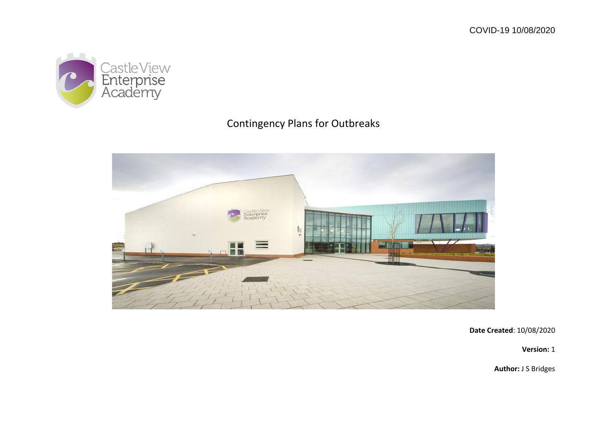

## Contingency Plans for Outbreaks



**Date Created**: 10/08/2020

**Version:** 1

**Author:** J S Bridges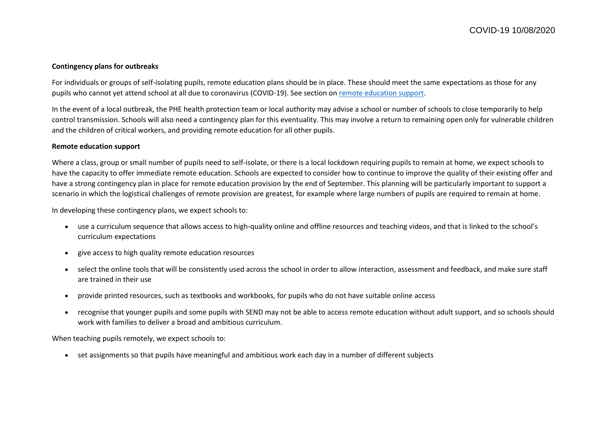## **Contingency plans for outbreaks**

For individuals or groups of self-isolating pupils, remote education plans should be in place. These should meet the same expectations as those for any pupils who cannot yet attend school at all due to coronavirus (COVID-19). See section on [remote education support.](https://www.gov.uk/government/publications/actions-for-schools-during-the-coronavirus-outbreak/guidance-for-full-opening-schools#res)

In the event of a local outbreak, the PHE health protection team or local authority may advise a school or number of schools to close temporarily to help control transmission. Schools will also need a contingency plan for this eventuality. This may involve a return to remaining open only for vulnerable children and the children of critical workers, and providing remote education for all other pupils.

## **Remote education support**

Where a class, group or small number of pupils need to self-isolate, or there is a local lockdown requiring pupils to remain at home, we expect schools to have the capacity to offer immediate remote education. Schools are expected to consider how to continue to improve the quality of their existing offer and have a strong contingency plan in place for remote education provision by the end of September. This planning will be particularly important to support a scenario in which the logistical challenges of remote provision are greatest, for example where large numbers of pupils are required to remain at home.

In developing these contingency plans, we expect schools to:

- use a curriculum sequence that allows access to high-quality online and offline resources and teaching videos, and that is linked to the school's curriculum expectations
- give access to high quality remote education resources
- select the online tools that will be consistently used across the school in order to allow interaction, assessment and feedback, and make sure staff are trained in their use
- provide printed resources, such as textbooks and workbooks, for pupils who do not have suitable online access
- recognise that younger pupils and some pupils with SEND may not be able to access remote education without adult support, and so schools should work with families to deliver a broad and ambitious curriculum.

When teaching pupils remotely, we expect schools to:

set assignments so that pupils have meaningful and ambitious work each day in a number of different subjects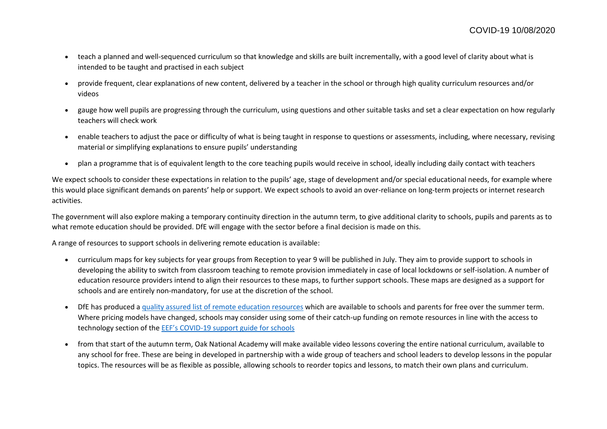- teach a planned and well-sequenced curriculum so that knowledge and skills are built incrementally, with a good level of clarity about what is intended to be taught and practised in each subject
- provide frequent, clear explanations of new content, delivered by a teacher in the school or through high quality curriculum resources and/or videos
- gauge how well pupils are progressing through the curriculum, using questions and other suitable tasks and set a clear expectation on how regularly teachers will check work
- enable teachers to adjust the pace or difficulty of what is being taught in response to questions or assessments, including, where necessary, revising material or simplifying explanations to ensure pupils' understanding
- plan a programme that is of equivalent length to the core teaching pupils would receive in school, ideally including daily contact with teachers

We expect schools to consider these expectations in relation to the pupils' age, stage of development and/or special educational needs, for example where this would place significant demands on parents' help or support. We expect schools to avoid an over-reliance on long-term projects or internet research activities.

The government will also explore making a temporary continuity direction in the autumn term, to give additional clarity to schools, pupils and parents as to what remote education should be provided. DfE will engage with the sector before a final decision is made on this.

A range of resources to support schools in delivering remote education is available:

- curriculum maps for key subjects for year groups from Reception to year 9 will be published in July. They aim to provide support to schools in developing the ability to switch from classroom teaching to remote provision immediately in case of local lockdowns or self-isolation. A number of education resource providers intend to align their resources to these maps, to further support schools. These maps are designed as a support for schools and are entirely non-mandatory, for use at the discretion of the school.
- DfE has produced a [quality assured list of remote education resources](https://www.gov.uk/government/publications/coronavirus-covid-19-online-education-resources) which are available to schools and parents for free over the summer term. Where pricing models have changed, schools may consider using some of their catch-up funding on remote resources in line with the access to technology section of the EEF's COVID[-19 support guide for schools](https://educationendowmentfoundation.org.uk/covid-19-resources/covid-19-support-guide-for-schools/)
- from that start of the autumn term, Oak National Academy will make available video lessons covering the entire national curriculum, available to any school for free. These are being in developed in partnership with a wide group of teachers and school leaders to develop lessons in the popular topics. The resources will be as flexible as possible, allowing schools to reorder topics and lessons, to match their own plans and curriculum.